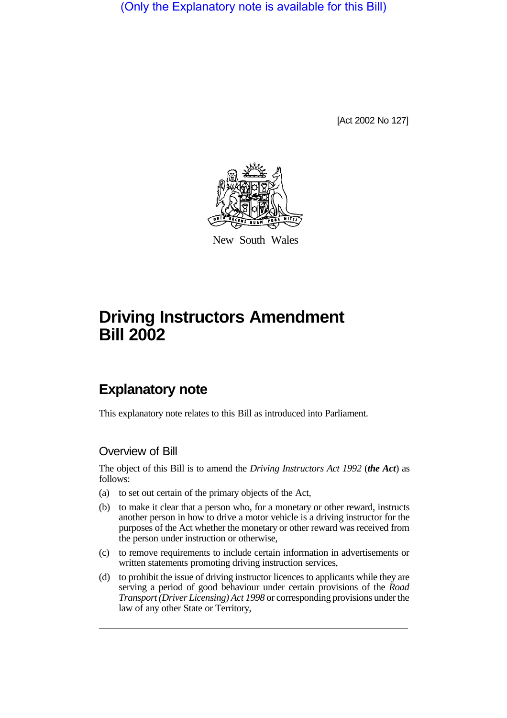(Only the Explanatory note is available for this Bill)

[Act 2002 No 127]



New South Wales

# **Driving Instructors Amendment Bill 2002**

## **Explanatory note**

This explanatory note relates to this Bill as introduced into Parliament.

## Overview of Bill

The object of this Bill is to amend the *Driving Instructors Act 1992* (*the Act*) as follows:

- (a) to set out certain of the primary objects of the Act,
- (b) to make it clear that a person who, for a monetary or other reward, instructs another person in how to drive a motor vehicle is a driving instructor for the purposes of the Act whether the monetary or other reward was received from the person under instruction or otherwise,
- (c) to remove requirements to include certain information in advertisements or written statements promoting driving instruction services,
- (d) to prohibit the issue of driving instructor licences to applicants while they are serving a period of good behaviour under certain provisions of the *Road Transport (Driver Licensing) Act 1998* or corresponding provisions under the law of any other State or Territory,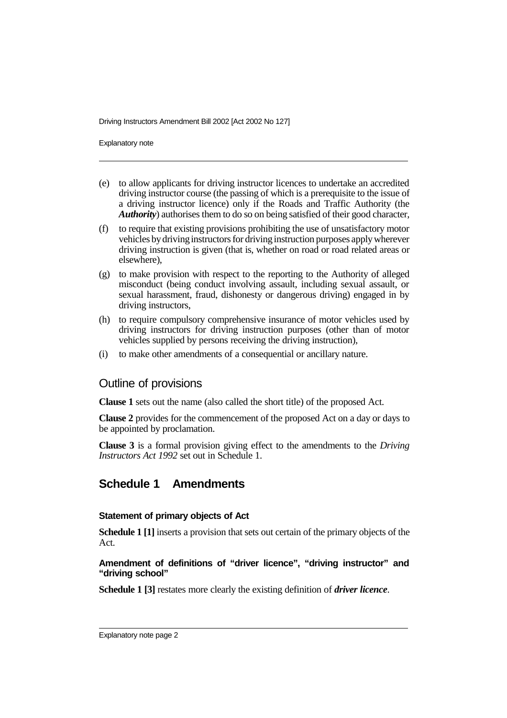Explanatory note

- (e) to allow applicants for driving instructor licences to undertake an accredited driving instructor course (the passing of which is a prerequisite to the issue of a driving instructor licence) only if the Roads and Traffic Authority (the *Authority*) authorises them to do so on being satisfied of their good character,
- (f) to require that existing provisions prohibiting the use of unsatisfactory motor vehicles by driving instructors for driving instruction purposes apply wherever driving instruction is given (that is, whether on road or road related areas or elsewhere),
- (g) to make provision with respect to the reporting to the Authority of alleged misconduct (being conduct involving assault, including sexual assault, or sexual harassment, fraud, dishonesty or dangerous driving) engaged in by driving instructors,
- (h) to require compulsory comprehensive insurance of motor vehicles used by driving instructors for driving instruction purposes (other than of motor vehicles supplied by persons receiving the driving instruction),
- (i) to make other amendments of a consequential or ancillary nature.

### Outline of provisions

**Clause 1** sets out the name (also called the short title) of the proposed Act.

**Clause 2** provides for the commencement of the proposed Act on a day or days to be appointed by proclamation.

**Clause 3** is a formal provision giving effect to the amendments to the *Driving Instructors Act 1992* set out in Schedule 1.

## **Schedule 1 Amendments**

#### **Statement of primary objects of Act**

**Schedule 1 [1]** inserts a provision that sets out certain of the primary objects of the Act.

#### **Amendment of definitions of "driver licence", "driving instructor" and "driving school"**

**Schedule 1 [3]** restates more clearly the existing definition of *driver licence*.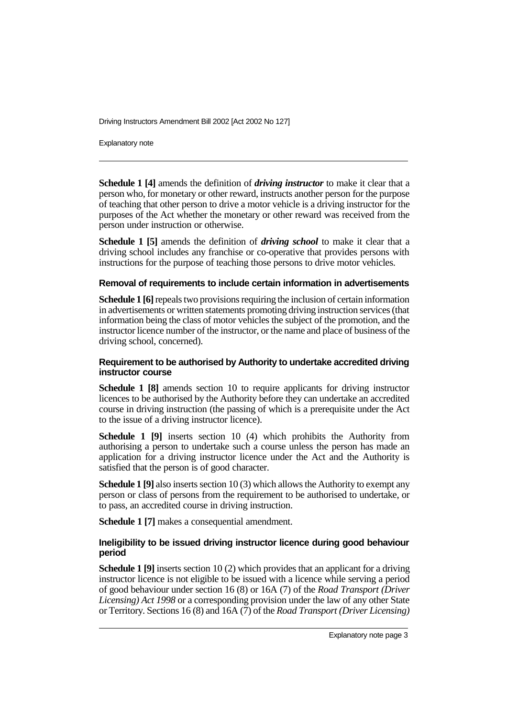Explanatory note

**Schedule 1 [4]** amends the definition of *driving instructor* to make it clear that a person who, for monetary or other reward, instructs another person for the purpose of teaching that other person to drive a motor vehicle is a driving instructor for the purposes of the Act whether the monetary or other reward was received from the person under instruction or otherwise.

**Schedule 1 [5]** amends the definition of *driving school* to make it clear that a driving school includes any franchise or co-operative that provides persons with instructions for the purpose of teaching those persons to drive motor vehicles.

#### **Removal of requirements to include certain information in advertisements**

**Schedule 1 [6]**repeals two provisions requiring the inclusion of certain information in advertisements or written statements promoting driving instruction services (that information being the class of motor vehicles the subject of the promotion, and the instructor licence number of the instructor, or the name and place of business of the driving school, concerned).

#### **Requirement to be authorised by Authority to undertake accredited driving instructor course**

**Schedule 1 [8]** amends section 10 to require applicants for driving instructor licences to be authorised by the Authority before they can undertake an accredited course in driving instruction (the passing of which is a prerequisite under the Act to the issue of a driving instructor licence).

**Schedule 1 [9]** inserts section 10 (4) which prohibits the Authority from authorising a person to undertake such a course unless the person has made an application for a driving instructor licence under the Act and the Authority is satisfied that the person is of good character.

**Schedule 1 [9]** also inserts section 10 (3) which allows the Authority to exempt any person or class of persons from the requirement to be authorised to undertake, or to pass, an accredited course in driving instruction.

**Schedule 1 [7]** makes a consequential amendment.

#### **Ineligibility to be issued driving instructor licence during good behaviour period**

**Schedule 1 [9]** inserts section 10 (2) which provides that an applicant for a driving instructor licence is not eligible to be issued with a licence while serving a period of good behaviour under section 16 (8) or 16A (7) of the *Road Transport (Driver Licensing) Act 1998* or a corresponding provision under the law of any other State or Territory. Sections 16 (8) and 16A (7) of the *Road Transport (Driver Licensing)*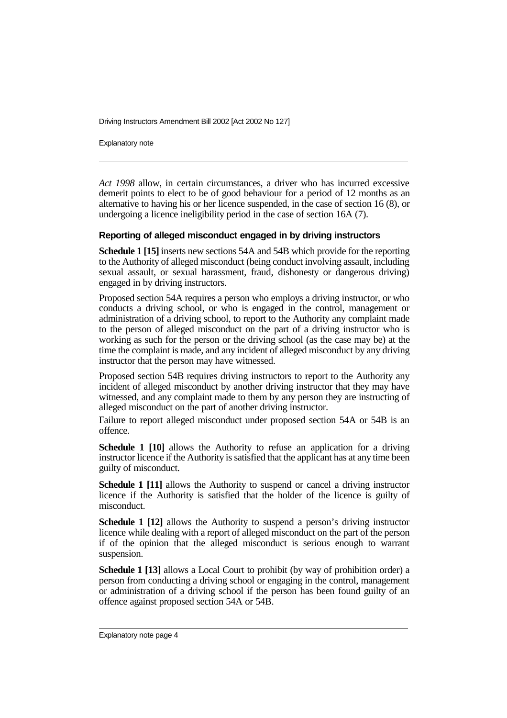Explanatory note

*Act 1998* allow, in certain circumstances, a driver who has incurred excessive demerit points to elect to be of good behaviour for a period of 12 months as an alternative to having his or her licence suspended, in the case of section 16 (8), or undergoing a licence ineligibility period in the case of section 16A (7).

#### **Reporting of alleged misconduct engaged in by driving instructors**

**Schedule 1 [15]** inserts new sections 54A and 54B which provide for the reporting to the Authority of alleged misconduct (being conduct involving assault, including sexual assault, or sexual harassment, fraud, dishonesty or dangerous driving) engaged in by driving instructors.

Proposed section 54A requires a person who employs a driving instructor, or who conducts a driving school, or who is engaged in the control, management or administration of a driving school, to report to the Authority any complaint made to the person of alleged misconduct on the part of a driving instructor who is working as such for the person or the driving school (as the case may be) at the time the complaint is made, and any incident of alleged misconduct by any driving instructor that the person may have witnessed.

Proposed section 54B requires driving instructors to report to the Authority any incident of alleged misconduct by another driving instructor that they may have witnessed, and any complaint made to them by any person they are instructing of alleged misconduct on the part of another driving instructor.

Failure to report alleged misconduct under proposed section 54A or 54B is an offence.

**Schedule 1 [10]** allows the Authority to refuse an application for a driving instructor licence if the Authority is satisfied that the applicant has at any time been guilty of misconduct.

**Schedule 1 [11]** allows the Authority to suspend or cancel a driving instructor licence if the Authority is satisfied that the holder of the licence is guilty of misconduct.

**Schedule 1 [12]** allows the Authority to suspend a person's driving instructor licence while dealing with a report of alleged misconduct on the part of the person if of the opinion that the alleged misconduct is serious enough to warrant suspension.

**Schedule 1 [13]** allows a Local Court to prohibit (by way of prohibition order) a person from conducting a driving school or engaging in the control, management or administration of a driving school if the person has been found guilty of an offence against proposed section 54A or 54B.